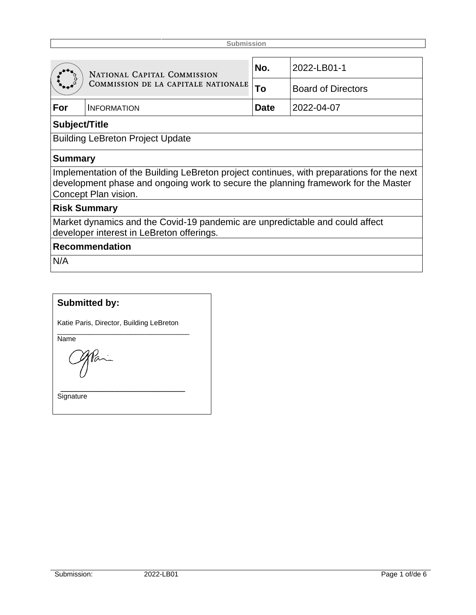|                                                                                                                                                                                                         | NATIONAL CAPITAL COMMISSION<br>COMMISSION DE LA CAPITALE NATIONALE | No.         | 2022-LB01-1               |  |  |  |
|---------------------------------------------------------------------------------------------------------------------------------------------------------------------------------------------------------|--------------------------------------------------------------------|-------------|---------------------------|--|--|--|
|                                                                                                                                                                                                         |                                                                    | To          | <b>Board of Directors</b> |  |  |  |
| For                                                                                                                                                                                                     | <b>INFORMATION</b>                                                 | <b>Date</b> | 2022-04-07                |  |  |  |
| Subject/Title                                                                                                                                                                                           |                                                                    |             |                           |  |  |  |
| <b>Building LeBreton Project Update</b>                                                                                                                                                                 |                                                                    |             |                           |  |  |  |
| <b>Summary</b>                                                                                                                                                                                          |                                                                    |             |                           |  |  |  |
| Implementation of the Building LeBreton project continues, with preparations for the next<br>development phase and ongoing work to secure the planning framework for the Master<br>Concept Plan vision. |                                                                    |             |                           |  |  |  |
| <b>Risk Summary</b>                                                                                                                                                                                     |                                                                    |             |                           |  |  |  |
| Market dynamics and the Covid-19 pandemic are unpredictable and could affect<br>developer interest in LeBreton offerings.                                                                               |                                                                    |             |                           |  |  |  |
| <b>Recommendation</b>                                                                                                                                                                                   |                                                                    |             |                           |  |  |  |
| 61/A                                                                                                                                                                                                    |                                                                    |             |                           |  |  |  |

N/A

# **Submitted by:**

Katie Paris, Director, Building LeBreton

\_\_\_\_\_\_\_\_\_\_\_\_\_\_\_\_\_\_\_\_\_\_\_\_

\_\_\_\_\_\_\_\_\_\_\_\_\_\_\_\_\_\_\_\_\_\_\_\_\_\_\_\_\_\_\_\_\_\_ Name

**Signature**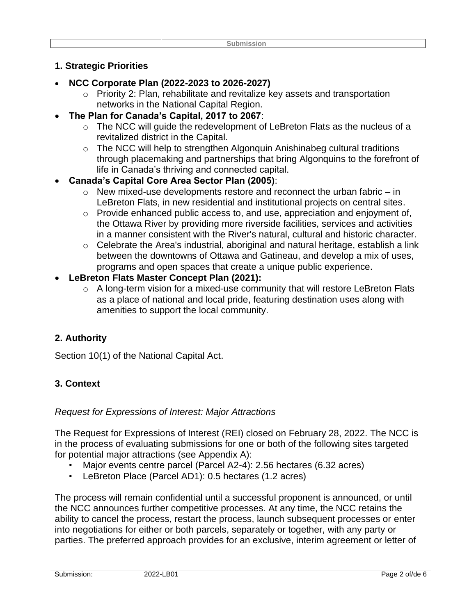### **1. Strategic Priorities**

- **NCC Corporate Plan (2022-2023 to 2026-2027)**
	- o Priority 2: Plan, rehabilitate and revitalize key assets and transportation networks in the National Capital Region.
- **The Plan for Canada's Capital, 2017 to 2067**:
	- o The NCC will guide the redevelopment of LeBreton Flats as the nucleus of a revitalized district in the Capital.
	- o The NCC will help to strengthen Algonquin Anishinabeg cultural traditions through placemaking and partnerships that bring Algonquins to the forefront of life in Canada's thriving and connected capital.
- **Canada's Capital Core Area Sector Plan (2005)**:
	- $\circ$  New mixed-use developments restore and reconnect the urban fabric in LeBreton Flats, in new residential and institutional projects on central sites.
	- o Provide enhanced public access to, and use, appreciation and enjoyment of, the Ottawa River by providing more riverside facilities, services and activities in a manner consistent with the River's natural, cultural and historic character.
	- $\circ$  Celebrate the Area's industrial, aboriginal and natural heritage, establish a link between the downtowns of Ottawa and Gatineau, and develop a mix of uses, programs and open spaces that create a unique public experience.
- **LeBreton Flats Master Concept Plan (2021):**
	- o A long-term vision for a mixed-use community that will restore LeBreton Flats as a place of national and local pride, featuring destination uses along with amenities to support the local community.

### **2. Authority**

Section 10(1) of the National Capital Act.

## **3. Context**

#### *Request for Expressions of Interest: Major Attractions*

The Request for Expressions of Interest (REI) closed on February 28, 2022. The NCC is in the process of evaluating submissions for one or both of the following sites targeted for potential major attractions (see Appendix A):

- Major events centre parcel (Parcel A2-4): 2.56 hectares (6.32 acres)
- LeBreton Place (Parcel AD1): 0.5 hectares (1.2 acres)

The process will remain confidential until a successful proponent is announced, or until the NCC announces further competitive processes. At any time, the NCC retains the ability to cancel the process, restart the process, launch subsequent processes or enter into negotiations for either or both parcels, separately or together, with any party or parties. The preferred approach provides for an exclusive, interim agreement or letter of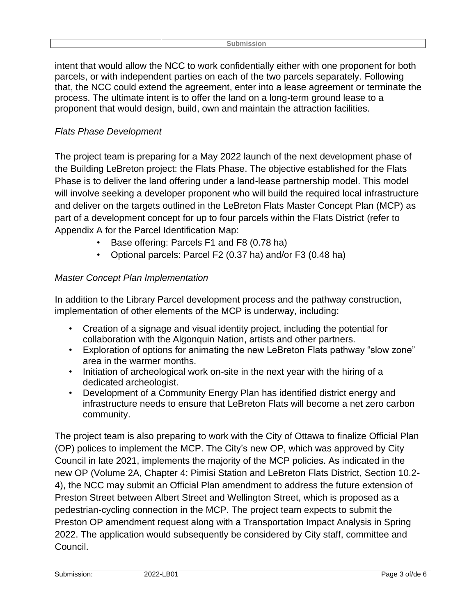intent that would allow the NCC to work confidentially either with one proponent for both parcels, or with independent parties on each of the two parcels separately. Following that, the NCC could extend the agreement, enter into a lease agreement or terminate the process. The ultimate intent is to offer the land on a long-term ground lease to a proponent that would design, build, own and maintain the attraction facilities.

## *Flats Phase Development*

The project team is preparing for a May 2022 launch of the next development phase of the Building LeBreton project: the Flats Phase. The objective established for the Flats Phase is to deliver the land offering under a land-lease partnership model. This model will involve seeking a developer proponent who will build the required local infrastructure and deliver on the targets outlined in the LeBreton Flats Master Concept Plan (MCP) as part of a development concept for up to four parcels within the Flats District (refer to Appendix A for the Parcel Identification Map:

- Base offering: Parcels F1 and F8 (0.78 ha)
- Optional parcels: Parcel F2 (0.37 ha) and/or F3 (0.48 ha)

## *Master Concept Plan Implementation*

In addition to the Library Parcel development process and the pathway construction, implementation of other elements of the MCP is underway, including:

- Creation of a signage and visual identity project, including the potential for collaboration with the Algonquin Nation, artists and other partners.
- Exploration of options for animating the new LeBreton Flats pathway "slow zone" area in the warmer months.
- Initiation of archeological work on-site in the next year with the hiring of a dedicated archeologist.
- Development of a Community Energy Plan has identified district energy and infrastructure needs to ensure that LeBreton Flats will become a net zero carbon community.

The project team is also preparing to work with the City of Ottawa to finalize Official Plan (OP) polices to implement the MCP. The City's new OP, which was approved by City Council in late 2021, implements the majority of the MCP policies. As indicated in the new OP (Volume 2A, Chapter 4: Pimisi Station and LeBreton Flats District, Section 10.2- 4), the NCC may submit an Official Plan amendment to address the future extension of Preston Street between Albert Street and Wellington Street, which is proposed as a pedestrian-cycling connection in the MCP. The project team expects to submit the Preston OP amendment request along with a Transportation Impact Analysis in Spring 2022. The application would subsequently be considered by City staff, committee and Council.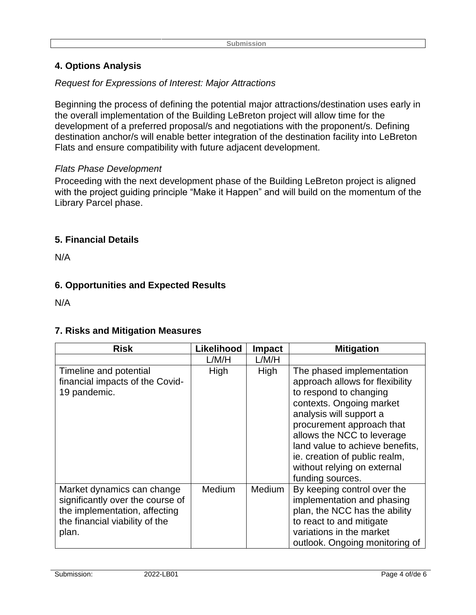## **4. Options Analysis**

#### *Request for Expressions of Interest: Major Attractions*

Beginning the process of defining the potential major attractions/destination uses early in the overall implementation of the Building LeBreton project will allow time for the development of a preferred proposal/s and negotiations with the proponent/s. Defining destination anchor/s will enable better integration of the destination facility into LeBreton Flats and ensure compatibility with future adjacent development.

#### *Flats Phase Development*

Proceeding with the next development phase of the Building LeBreton project is aligned with the project guiding principle "Make it Happen" and will build on the momentum of the Library Parcel phase.

#### **5. Financial Details**

N/A

### **6. Opportunities and Expected Results**

N/A

### **7. Risks and Mitigation Measures**

| <b>Risk</b>                                                                                                                                | Likelihood    | Impact | <b>Mitigation</b>                                                                                                                                                                                                                                                                                                               |
|--------------------------------------------------------------------------------------------------------------------------------------------|---------------|--------|---------------------------------------------------------------------------------------------------------------------------------------------------------------------------------------------------------------------------------------------------------------------------------------------------------------------------------|
|                                                                                                                                            | L/M/H         | L/M/H  |                                                                                                                                                                                                                                                                                                                                 |
| Timeline and potential<br>financial impacts of the Covid-<br>19 pandemic.                                                                  | High          | High   | The phased implementation<br>approach allows for flexibility<br>to respond to changing<br>contexts. Ongoing market<br>analysis will support a<br>procurement approach that<br>allows the NCC to leverage<br>land value to achieve benefits,<br>ie. creation of public realm,<br>without relying on external<br>funding sources. |
| Market dynamics can change<br>significantly over the course of<br>the implementation, affecting<br>the financial viability of the<br>plan. | <b>Medium</b> | Medium | By keeping control over the<br>implementation and phasing<br>plan, the NCC has the ability<br>to react to and mitigate<br>variations in the market<br>outlook. Ongoing monitoring of                                                                                                                                            |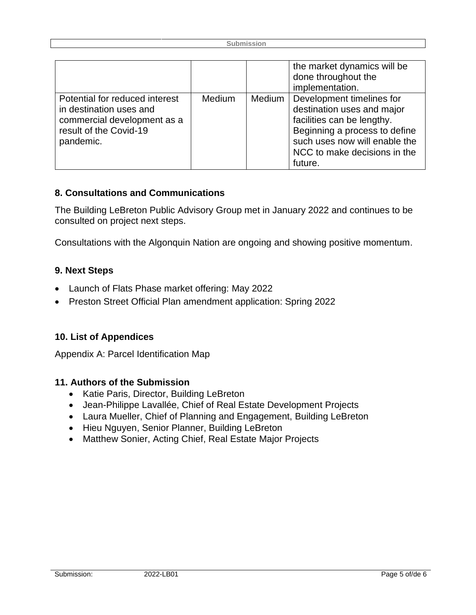|                                                                                                                                 |        |        | the market dynamics will be<br>done throughout the<br>implementation.                                                                                                                              |
|---------------------------------------------------------------------------------------------------------------------------------|--------|--------|----------------------------------------------------------------------------------------------------------------------------------------------------------------------------------------------------|
| Potential for reduced interest<br>in destination uses and<br>commercial development as a<br>result of the Covid-19<br>pandemic. | Medium | Medium | Development timelines for<br>destination uses and major<br>facilities can be lengthy.<br>Beginning a process to define<br>such uses now will enable the<br>NCC to make decisions in the<br>future. |

#### **8. Consultations and Communications**

The Building LeBreton Public Advisory Group met in January 2022 and continues to be consulted on project next steps.

Consultations with the Algonquin Nation are ongoing and showing positive momentum.

#### **9. Next Steps**

- Launch of Flats Phase market offering: May 2022
- Preston Street Official Plan amendment application: Spring 2022

#### **10. List of Appendices**

Appendix A: Parcel Identification Map

#### **11. Authors of the Submission**

- Katie Paris, Director, Building LeBreton
- Jean-Philippe Lavallée, Chief of Real Estate Development Projects
- Laura Mueller, Chief of Planning and Engagement, Building LeBreton
- Hieu Nguyen, Senior Planner, Building LeBreton
- Matthew Sonier, Acting Chief, Real Estate Major Projects